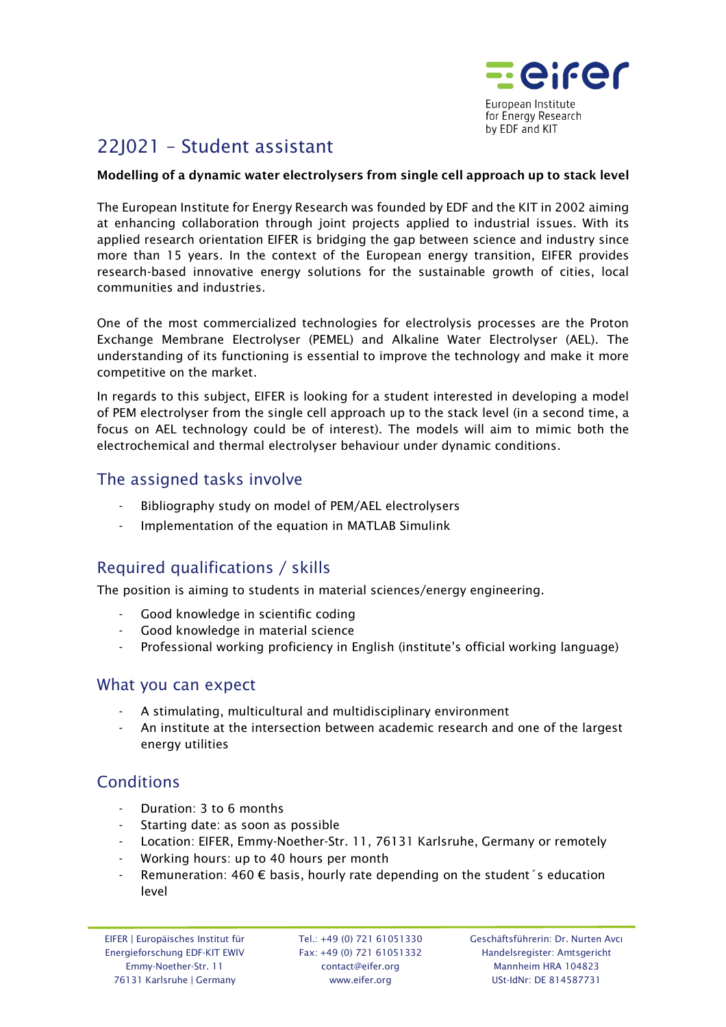

# 22J021 – Student assistant

#### Modelling of a dynamic water electrolysers from single cell approach up to stack level

The European Institute for Energy Research was founded by EDF and the KIT in 2002 aiming at enhancing collaboration through joint projects applied to industrial issues. With its applied research orientation EIFER is bridging the gap between science and industry since more than 15 years. In the context of the European energy transition, EIFER provides research-based innovative energy solutions for the sustainable growth of cities, local communities and industries.

One of the most commercialized technologies for electrolysis processes are the Proton Exchange Membrane Electrolyser (PEMEL) and Alkaline Water Electrolyser (AEL). The understanding of its functioning is essential to improve the technology and make it more competitive on the market.

In regards to this subject, EIFER is looking for a student interested in developing a model of PEM electrolyser from the single cell approach up to the stack level (in a second time, a focus on AEL technology could be of interest). The models will aim to mimic both the electrochemical and thermal electrolyser behaviour under dynamic conditions.

### The assigned tasks involve

- Bibliography study on model of PEM/AEL electrolysers
- Implementation of the equation in MATLAB Simulink

## Required qualifications / skills

The position is aiming to students in material sciences/energy engineering.

- Good knowledge in scientific coding
- Good knowledge in material science
- Professional working proficiency in English (institute's official working language)

#### What you can expect

- A stimulating, multicultural and multidisciplinary environment
- An institute at the intersection between academic research and one of the largest energy utilities

## **Conditions**

- Duration: 3 to 6 months
- Starting date: as soon as possible
- Location: EIFER, Emmy-Noether-Str. 11, 76131 Karlsruhe, Germany or remotely
- Working hours: up to 40 hours per month
- Remuneration: 460  $\epsilon$  basis, hourly rate depending on the student's education level

Tel.: +49 (0) 721 61051330 Fax: +49 (0) 721 61051332 contact@eifer.org www.eifer.org